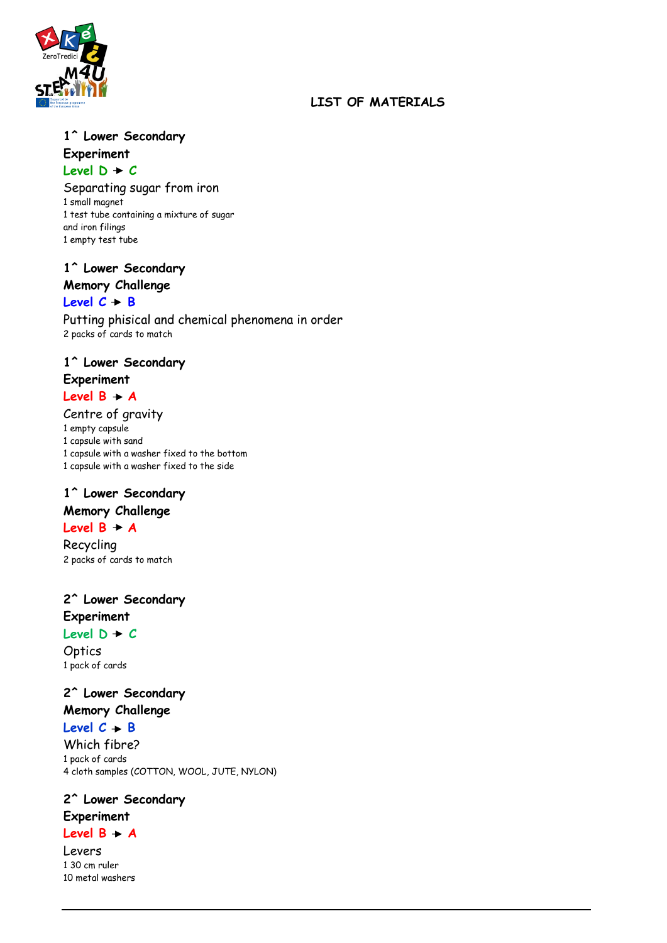

### **LIST OF MATERIALS**

### **1^ Lower Secondary Experiment** Level  $D + C$

Separating sugar from iron 1 small magnet 1 test tube containing a mixture of sugar and iron filings 1 empty test tube

**1^ Lower Secondary**

# **Memory Challenge**

#### Level  $C + B$

Putting phisical and chemical phenomena in order 2 packs of cards to match

#### **1^ Lower Secondary Experiment**

### Level  $B + A$

Centre of gravity 1 empty capsule 1 capsule with sand 1 capsule with a washer fixed to the bottom 1 capsule with a washer fixed to the side

# **1^ Lower Secondary**

### **Memory Challenge**

### Level  $B + A$

Recycling 2 packs of cards to match

### **2^ Lower Secondary Experiment** Level  $D + C$

**Optics** 1 pack of cards

# **2^ Lower Secondary**

## **Memory Challenge**

Level  $C + B$ 

Which fibre? 1 pack of cards 4 cloth samples (COTTON, WOOL, JUTE, NYLON)

#### **2^ Lower Secondary**

### **Experiment**

Level  $B \rightarrow A$ 

Levers 1 30 cm ruler 10 metal washers